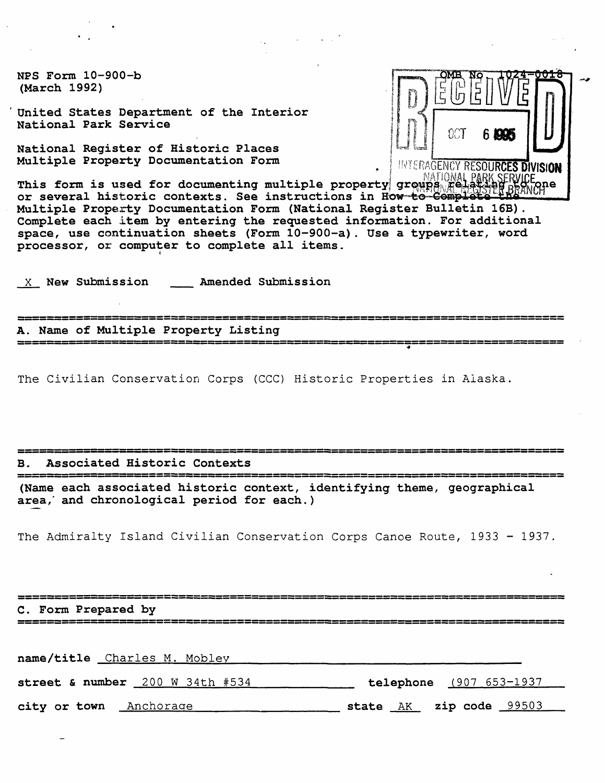NPS Form 10-900-b (March 1992)

United States Department of the Interior National Park Service

National Register of Historic Places Multiple Property Documentation Form **Form Accommunist Property PESOURCES DIVISION** 

This form is used for documenting multiple property growns  $\mathbb{F}^1$ or several historic contexts. See instructions in How-to-Complete-Multiple Property Documentation Form (National Register Bulletin 16B). Complete each item by entering the requested information. For additional space, use continuation sheets (Form 10-900-a). Use a typewriter, word processor, or computer to complete all items.

X New Submission Amended Submission

A. Name of Multiple Property Listing 

The Civilian Conservation Corps (CCC) Historic Properties in Alaska

#### B. Associated Historic Contexts

(Name each associated historic context, identifying theme, geographical area,' and chronological period for each.)

The Admiralty Island Civilian Conservation Corps Canoe Route, 1933 - 1937

C. Form Prepared by

| name/title Charles M. Mobley    |                          |
|---------------------------------|--------------------------|
| street & number 200 W 34th #534 | telephone (907 653-1937) |
| city or town<br>Anchorage       | state AK zip code 99503  |

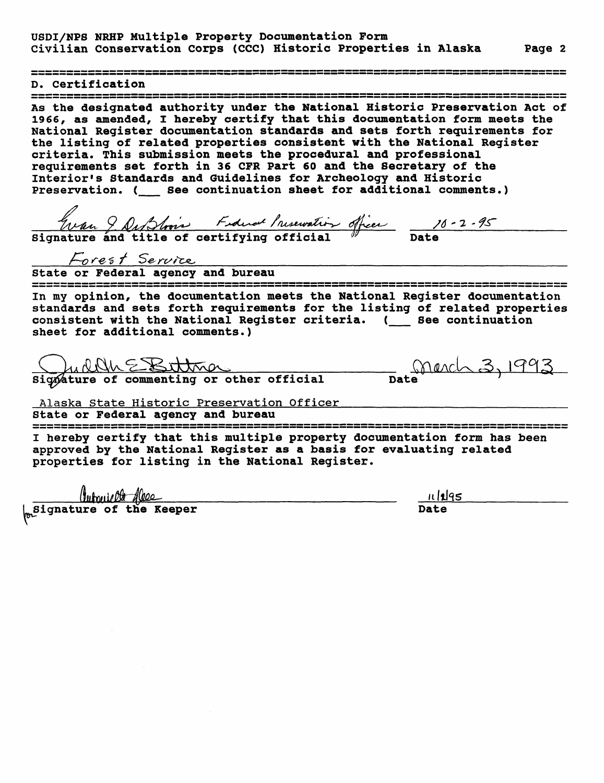D. Certification<br>=================

As the designated authority under the National Historic Preservation Act of 1966, as amended, I hereby certify that this documentation form meets the National Register documentation standards and sets forth requirements for the listing of related properties consistent with the National Register criteria. This submission meets the procedural and professional requirements set forth in 36 CFR Part 60 and the Secretary of the Interior's Standards and Guidelines for Archeology and Historic Preservation. ( \_\_ See continuation sheet for additional comments.)

 $9.$  Dub toois Fideral Inservation officer 10 Signature and title of certifying official  $\hspace{0.1cm}^{\mathscr{Y}}$  Date

/

state or Federal agency and bureau

ے کا لگا کہ دے تک کہ جب بڑن نال دے دن نال دے دن جن دی ہو سے بند ہے تک این دے دی ہے جب دے دی ہے کہ دی ہے جب دی <br>سے بہر دے ہیں بہت ہے بڑن دے دے ہیں جن دی ہوں نے بند اس نے بڑن نال دے دل دن ہو ہے جب دے ہے جب دے دی دی دی ہے د In my opinion, the documentation meets the National Register documentation standards and sets forth requirements for the listing of related properties consistent with the National Register criteria. (\_\_ See continuation sheet for additional comments.)

Signature of commenting or other official mate

.3.

Alaska State Historic Preservation Officer

State or Federal agency and bureau

I hereby certify that this multiple property documentation form has been approved by the National Register as a basis for evaluating related properties for listing in the National Register.

(ubuit the Essex dubulity of the Reeper <u>11/195</u>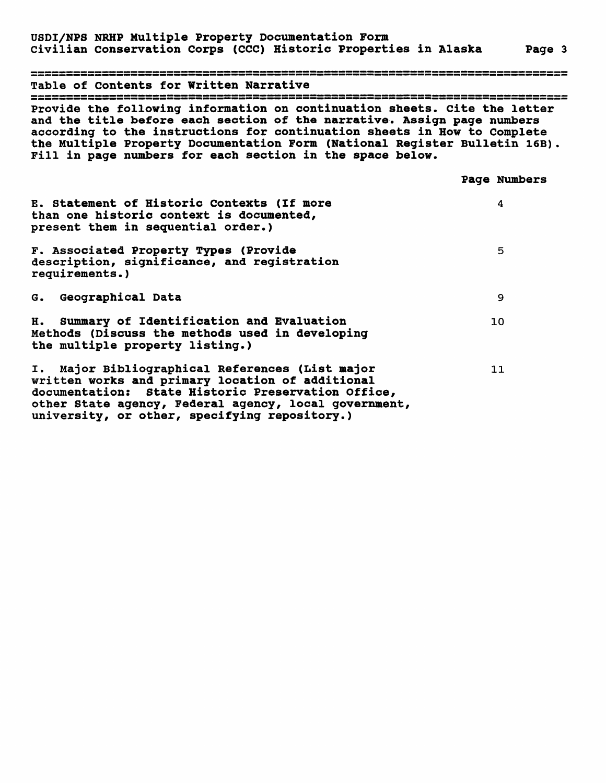Table of Contents for Written Narrative Provide the following information on continuation sheets, cite the letter and the title before each section of the narrative. Assign page numbers according to the instructions for continuation sheets in How to Complete the Multiple Property Documentation Form (National Register Bulletin 16B) Fill in page numbers for each section in the space below.

|                                                                                                                                                                                                                                                                     | Page Numbers |
|---------------------------------------------------------------------------------------------------------------------------------------------------------------------------------------------------------------------------------------------------------------------|--------------|
| E. Statement of Historic Contexts (If more<br>than one historic context is documented,<br>present them in sequential order.)                                                                                                                                        | 4            |
| F. Associated Property Types (Provide<br>description, significance, and registration<br>requirements.)                                                                                                                                                              | 5            |
| G. Geographical Data                                                                                                                                                                                                                                                | 9            |
| H. Summary of Identification and Evaluation<br>Methods (Discuss the methods used in developing<br>the multiple property listing.)                                                                                                                                   | 10           |
| I. Major Bibliographical References (List major<br>written works and primary location of additional<br>documentation: State Historic Preservation Office,<br>other State agency, Federal agency, local government,<br>university, or other, specifying repository.) | 11           |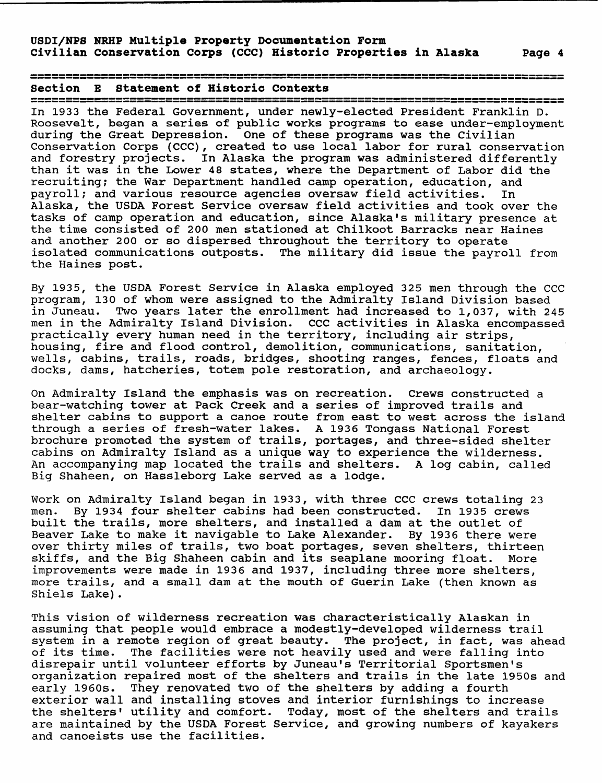Section E Statement of Historic Contexts

In 1933 the Federal Government, under newly-elected President Franklin D. Roosevelt, began a series of public works programs to ease under-employment during the Great Depression. One of these programs was the Civilian Conservation Corps (CCC), created to use local labor for rural conservation and forestry projects. In Alaska the program was administered differently than it was in the Lower 48 states, where the Department of Labor did the recruiting; the War Department handled camp operation, education, and<br>payroll; and various resource agencies oversaw field activities. In payroll; and various resource agencies oversaw field activities. Alaska, the USDA Forest Service oversaw field activities and took over the tasks of camp operation and education, since Alaska's military presence at the time consisted of 200 men stationed at Chilkoot Barracks near Haines and another 200 or so dispersed throughout the territory to operate isolated communications outposts. The military did issue the payroll from the Haines post.

By 1935, the USDA Forest Service in Alaska employed 325 men through the CCC program, 130 of whom were assigned to the Admiralty Island Division based in Juneau. Two years later the enrollment had increased to 1,037, with 245 men in the Admiralty Island Division. CCC activities in Alaska encompassed practically every human need in the territory, including air strips, housing, fire and flood control, demolition, communications, sanitation, wells, cabins, trails, roads, bridges, shooting ranges, fences, floats and docks, dams, hatcheries, totem pole restoration, and archaeology.

On Admiralty Island the emphasis was on recreation. Crews constructed a bear-watching tower at Pack Creek and a series of improved trails and shelter cabins to support a canoe route from east to west across the island through a series of fresh-water lakes. A 1936 Tongass National Forest brochure promoted the system of trails, portages, and three-sided shelter cabins on Admiralty Island as a unique way to experience the wilderness. An accompanying map located the trails and shelters. A log cabin, called Big Shaheen, on Hassleborg Lake served as a lodge.

Work on Admiralty Island began in 1933, with three CCC crews totaling 23 men. By 1934 four shelter cabins had been constructed. In 1935 crews built the trails, more shelters, and installed a dam at the outlet of Beaver Lake to make it navigable to Lake Alexander. By 1936 there were over thirty miles of trails, two boat portages, seven shelters, thirteen skiffs, and the Big Shaheen cabin and its seaplane mooring float. More improvements were made in 1936 and 1937, including three more shelters, more trails, and a small dam at the mouth of Guerin Lake (then known as Shiels Lake).

This vision of wilderness recreation was characteristically Alaskan in assuming that people would embrace a modestly-developed wilderness trail system in a remote region of great beauty. The project, in fact, was ahead of its time. The facilities were not heavily used and were falling into disrepair until volunteer efforts by Juneau's Territorial Sportsmen's organization repaired most of the shelters and trails in the late 1950s and early 1960s. They renovated two of the shelters by adding a fourth exterior wall and installing stoves and interior furnishings to increase the shelters' utility and comfort. Today, most of the shelters and trails are maintained by the USDA Forest Service, and growing numbers of kayakers and canoeists use the facilities.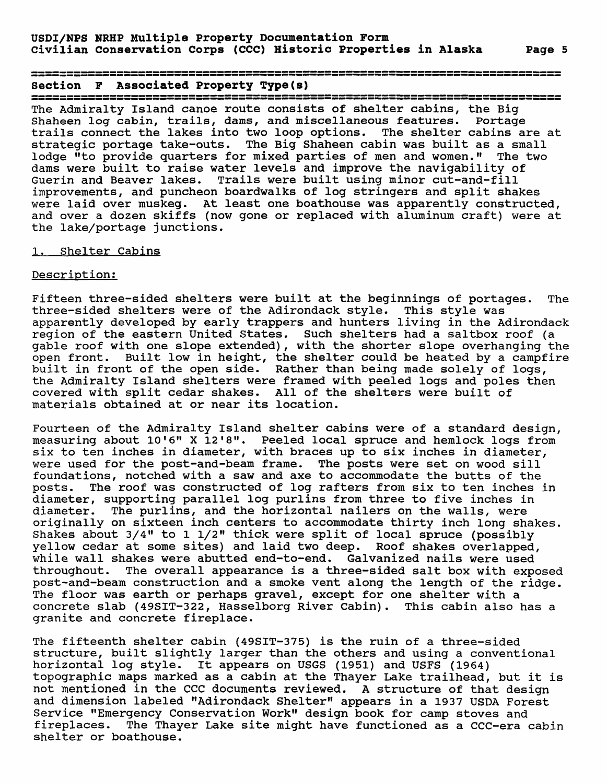Section F Associated Property Type(s)

The Admiralty Island canoe route consists of shelter cabins, the Big Shaheen log cabin, trails, dams, and miscellaneous features. Portage trails connect the lakes into two loop options. The shelter cabins are at strategic portage take-outs. The Big Shaheen cabin was built as a small lodge "to provide quarters for mixed parties of men and women." The two dams were built to raise water levels and improve the navigability of Guerin and Beaver lakes. Trails were built using minor cut-and-fill improvements, and puncheon boardwalks of log stringers and split shakes were laid over muskeg. At least one boathouse was apparently constructed, and over a dozen skiffs (now gone or replaced with aluminum craft) were at the lake/portage junctions.

#### 1. Shelter Cabins

#### Description:

Fifteen three-sided shelters were built at the beginnings of portages. The three-sided shelters were of the Adirondack style. This style was apparently developed by early trappers and hunters living in the Adirondack region of the eastern United States. Such shelters had a saltbox roof (a gable roof with one slope extended), with the shorter slope overhanging the open front. Built low in height, the shelter could be heated by a campfire built in front of the open side. Rather than being made solely of logs, the Admiralty Island shelters were framed with peeled logs and poles then covered with split cedar shakes. All of the shelters were built of materials obtained at or near its location.

Fourteen of the Admiralty Island shelter cabins were of a standard design, measuring about 10'6" X 12'8". Peeled local spruce and hemlock logs from six to ten inches in diameter, with braces up to six inches in diameter, were used for the post-and-beam frame. The posts were set on wood sill foundations, notched with a saw and axe to accommodate the butts of the The roof was constructed of log rafters from six to ten inches in diameter, supporting parallel log purlins from three to five inches in diameter. The purlins, and the horizontal nailers on the walls, were originally on sixteen inch centers to accommodate thirty inch long shakes. Shakes about 3/4" to 1 1/2" thick were split of local spruce (possibly yellow cedar at some sites) and laid two deep. Roof shakes overlapped, while wall shakes were abutted end-to-end. Galvanized nails were used throughout. The overall appearance is a three-sided salt box with exposed post-and-beam construction and a smoke vent along the length of the ridge. The floor was earth or perhaps gravel, except for one shelter with a concrete slab (49SIT-322, Hasselborg River Cabin). This cabin also has a granite and concrete fireplace.

The fifteenth shelter cabin (49SIT-375) is the ruin of a three-sided structure, built slightly larger than the others and using a conventional horizontal log style. It appears on USGS (1951) and USFS (1964) topographic maps marked as a cabin at the Thayer Lake trailhead, but it is not mentioned in the CCC documents reviewed. A structure of that design and dimension labeled "Adirondack Shelter" appears in a 1937 USDA Forest Service "Emergency Conservation Work" design book for camp stoves and fireplaces. The Thayer Lake site might have functioned as a CCC-era cabin shelter or boathouse.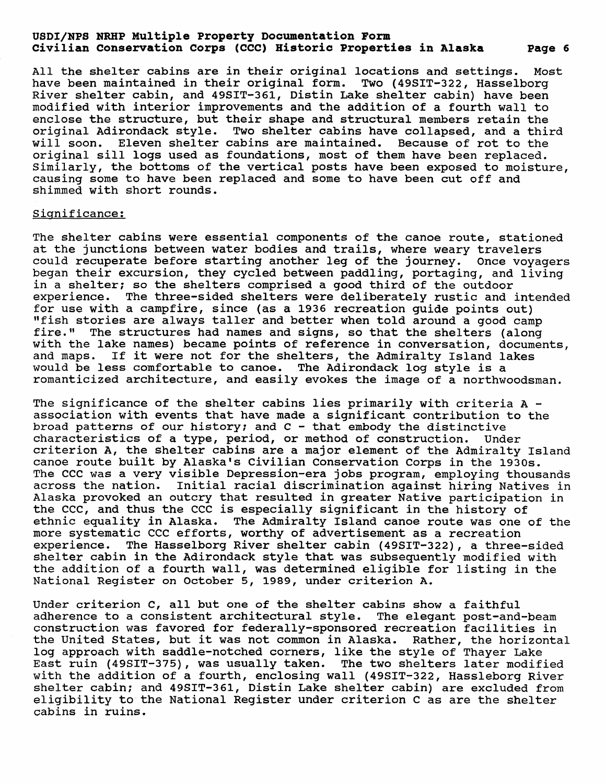All the shelter cabins are in their original locations and settings. Most have been maintained in their original form. Two (49SIT-322, Hasselborg River shelter cabin, and 49SIT-361, Distin Lake shelter cabin) have been modified with interior improvements and the addition of a fourth wall to enclose the structure, but their shape and structural members retain the original Adirondack style. Two shelter cabins have collapsed, and a third will soon. Eleven shelter cabins are maintained. Because of rot to the original sill logs used as foundations, most of them have been replaced. Similarly, the bottoms of the vertical posts have been exposed to moisture, causing some to have been replaced and some to have been cut off and shimmed with short rounds.

#### Significance:

The shelter cabins were essential components of the canoe route, stationed at the junctions between water bodies and trails, where weary travelers could recuperate before starting another leg of the journey. Once voyagers began their excursion, they cycled between paddling, portaging, and living in a shelter; so the shelters comprised a good third of the outdoor experience. The three-sided shelters were deliberately rustic and intended for use with a campfire, since (as a 1936 recreation guide points out) "fish stories are always taller and better when told around a good camp fire." The structures had names and signs, so that the shelters (along with the lake names) became points of reference in conversation, documents, and maps. If it were not for the shelters, the Admiralty Island lakes would be less comfortable to canoe. The Adirondack log style is a romanticized architecture, and easily evokes the image of a northwoodsman.

The significance of the shelter cabins lies primarily with criteria A association with events that have made a significant contribution to the broad patterns of our history; and  $C - that$  embody the distinctive characteristics of a type, period, or method of construction. Under criterion A, the shelter cabins are a major element of the Admiralty Island canoe route built by Alaska's Civilian Conservation Corps in the 1930s. The CCC was a very visible Depression-era jobs program, employing thousands across the nation. Initial racial discrimination against hiring Natives in Alaska provoked an outcry that resulted in greater Native participation in the CCC, and thus the CCC is especially significant in the history of ethnic equality in Alaska. The Admiralty Island canoe route was one of the more systematic CCC efforts, worthy of advertisement as a recreation experience. The Hasselborg River shelter cabin (49SIT-322), a three-sided shelter cabin in the Adirondack style that was subsequently modified with the addition of a fourth wall, was determined eligible for listing in the National Register on October 5, 1989, under criterion A.

Under criterion C, all but one of the shelter cabins show a faithful adherence to a consistent architectural style. The elegant post-and-beam construction was favored for federally-sponsored recreation facilities in the United States, but it was not common in Alaska. Rather, the horizontal log approach with saddle-notched corners, like the style of Thayer Lake East ruin (49SIT-375), was usually taken. The two shelters later modified with the addition of a fourth, enclosing wall (49SIT-322, Hassleborg River shelter cabin; and 49SIT-361, Distin Lake shelter cabin) are excluded from eligibility to the National Register under criterion C as are the shelter cabins in ruins.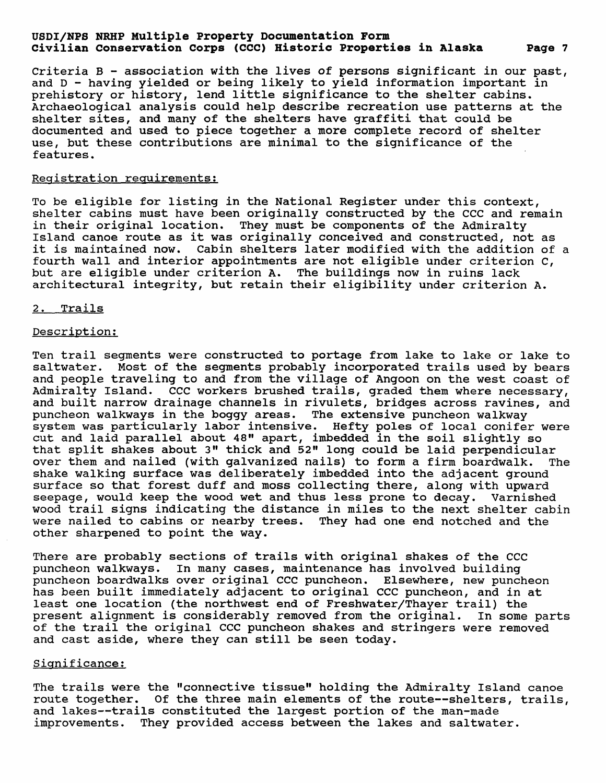Criteria B - association with the lives of persons significant in our past, and D - having yielded or being likely to yield information important in prehistory or history, lend little significance to the shelter cabins. Archaeological analysis could help describe recreation use patterns at the shelter sites, and many of the shelters have graffiti that could be documented and used to piece together a more complete record of shelter use, but these contributions are minimal to the significance of the features.

#### Registration requirements;

To be eligible for listing in the National Register under this context, shelter cabins must have been originally constructed by the CCC and remain in their original location. They must be components of the Admiralty Island canoe route as it was originally conceived and constructed, not as it is maintained now. Cabin shelters later modified with the addition of a fourth wall and interior appointments are not eligible under criterion C, but are eligible under criterion A. The buildings now in ruins lack architectural integrity, but retain their eligibility under criterion A.

#### 2. Trails

#### Description;

Ten trail segments were constructed to portage from lake to lake or lake to saltwater. Most of the segments probably incorporated trails used by bears and people traveling to and from the village of Angoon on the west coast of Admiralty Island. CCC workers brushed trails, graded them where necessary, and built narrow drainage channels in rivulets, bridges across ravines, and puncheon walkways in the boggy areas. The extensive puncheon walkway system was particularly labor intensive. Hefty poles of local conifer were cut and laid parallel about 48" apart, imbedded in the soil slightly so that split shakes about 3" thick and 52" long could be laid perpendicular over them and nailed (with galvanized nails) to form a firm boardwalk. The shake walking surface was deliberately imbedded into the adjacent ground surface so that forest duff and moss collecting there, along with upward seepage, would keep the wood wet and thus less prone to decay. Varnished wood trail signs indicating the distance in miles to the next shelter cabin were nailed to cabins or nearby trees. They had one end notched and the other sharpened to point the way.

There are probably sections of trails with original shakes of the CCC puncheon walkways. In many cases, maintenance has involved building puncheon boardwalks over original CCC puncheon. Elsewhere, new puncheon has been built immediately adjacent to original CCC puncheon, and in at least one location (the northwest end of Freshwater/Thayer trail) the present alignment is considerably removed from the original. In some parts of the trail the original CCC puncheon shakes and stringers were removed and cast aside, where they can still be seen today.

### Significance:

The trails were the "connective tissue" holding the Admiralty Island canoe route together. Of the three main elements of the route--shelters, trails, and lakes--trails constituted the largest portion of the man-made improvements. They provided access between the lakes and saltwater.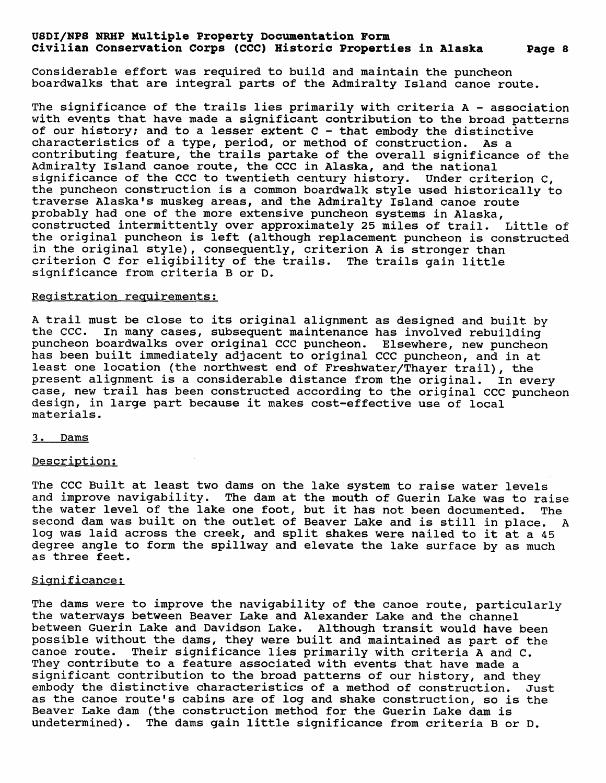Considerable effort was required to build and maintain the puncheon boardwalks that are integral parts of the Admiralty Island canoe route.

The significance of the trails lies primarily with criteria A - association with events that have made a significant contribution to the broad patterns of our history; and to a lesser extent  $C$  - that embody the distinctive characteristics of a type, period, or method of construction. As a contributing feature, the trails partake of the overall significance of the Admiralty Island canoe route, the CCC in Alaska, and the national significance of the CCC to twentieth century history. Under criterion C, the puncheon construction is a common boardwalk style used historically to traverse Alaska's muskeg areas, and the Admiralty Island canoe route probably had one of the more extensive puncheon systems in Alaska, constructed intermittently over approximately 25 miles of trail. Little of the original puncheon is left (although replacement puncheon is constructed in the original style), consequently, criterion A is stronger than criterion C for eligibility of the trails. The trails gain little significance from criteria B or D.

#### Registration requirements:

A trail must be close to its original alignment as designed and built by the CCC. In many cases, subsequent maintenance has involved rebuilding puncheon boardwalks over original CCC puncheon. Elsewhere, new puncheon has been built immediately adjacent to original CCC puncheon, and in at least one location (the northwest end of Freshwater/Thayer trail), the present alignment is a considerable distance from the original. In every case, new trail has been constructed according to the original CCC puncheon design, in large part because it makes cost-effective use of local materials.

#### 3. Dams

#### Description;

The CCC Built at least two dams on the lake system to raise water levels and improve navigability. The dam at the mouth of Guerin Lake was to raise the water level of the lake one foot, but it has not been documented. The second dam was built on the outlet of Beaver Lake and is still in place. A log was laid across the creek, and split shakes were nailed to it at a 45 degree angle to form the spillway and elevate the lake surface by as much as three feet.

#### Significance;

The dams were to improve the navigability of the canoe route, particularly the waterways between Beaver Lake and Alexander Lake and the channel between Guerin Lake and Davidson Lake. Although transit would have been possible without the dams, they were built and maintained as part of the canoe route. Their significance lies primarily with criteria A and C. Their significance lies primarily with criteria A and C. They contribute to a feature associated with events that have made a significant contribution to the broad patterns of our history, and they embody the distinctive characteristics of a method of construction. Just as the canoe route's cabins are of log and shake construction, so is the Beaver Lake dam (the construction method for the Guerin Lake dam is undetermined). The dams gain little significance from criteria B or D.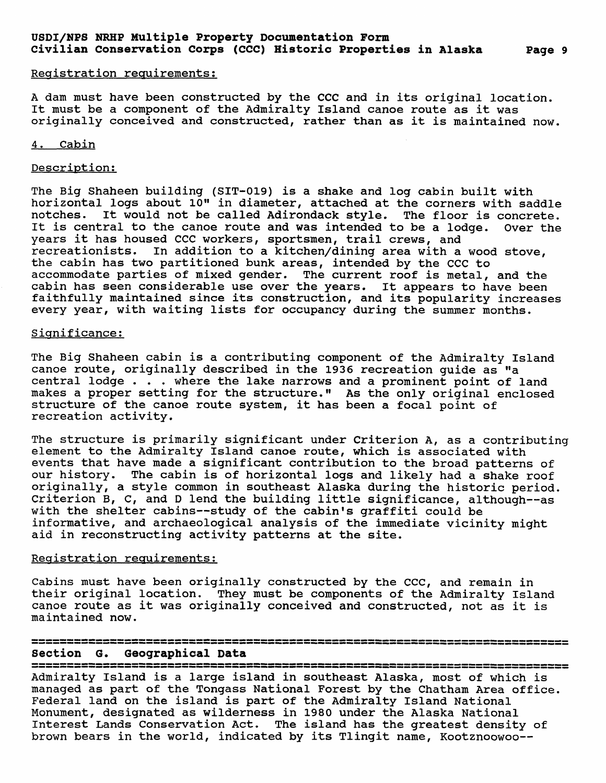A dam must have been constructed by the CCC and in its original location. It must be a component of the Admiralty Island canoe route as it was originally conceived and constructed, rather than as it is maintained now.

# 4. Cabin

#### Description;

The Big Shaheen building (SIT-019) is a shake and log cabin built with horizontal logs about 10" in diameter, attached at the corners with saddle notches. It would not be called Adirondack style. The floor is concrete. It is central to the canoe route and was intended to be a lodge. Over the years it has housed CCC workers, sportsmen, trail crews, and recreationists. In addition to a kitchen/dining area with a wood stove, the cabin has two partitioned bunk areas, intended by the CCC to accommodate parties of mixed gender. The current roof is metal, and the cabin has seen considerable use over the years. It appears to have been faithfully maintained since its construction, and its popularity increases every year, with waiting lists for occupancy during the summer months.

# Significance;

The Big Shaheen cabin is a contributing component of the Admiralty Island canoe route, originally described in the 1936 recreation guide as "a central lodge . . . where the lake narrows and a prominent point of land makes a proper setting for the structure." As the only original enclosed structure of the canoe route system, it has been a focal point of recreation activity.

The structure is primarily significant under Criterion A, as a contributing element to the Admiralty Island canoe route, which is associated with events that have made a significant contribution to the broad patterns of our history. The cabin is of horizontal logs and likely had a shake roof originally, a style common in southeast Alaska during the historic period. Criterion B, C, and D lend the building little significance, although--as with the shelter cabins--study of the cabin's graffiti could be informative, and archaeological analysis of the immediate vicinity might aid in reconstructing activity patterns at the site.

#### Registration requirements;

Cabins must have been originally constructed by the CCC, and remain in their original location. They must be components of the Admiralty Island canoe route as it was originally conceived and constructed, not as it is maintained now.

# 

Section G. Geographical Data Admiralty Island is a large island in southeast Alaska, most of which is managed as part of the Tongass National Forest by the Chatham Area office. Federal land on the island is part of the Admiralty Island National Monument, designated as wilderness in 1980 under the Alaska National Interest Lands Conservation Act. The island has the greatest density of brown bears in the world, indicated by its Tlingit name, Kootznoowoo--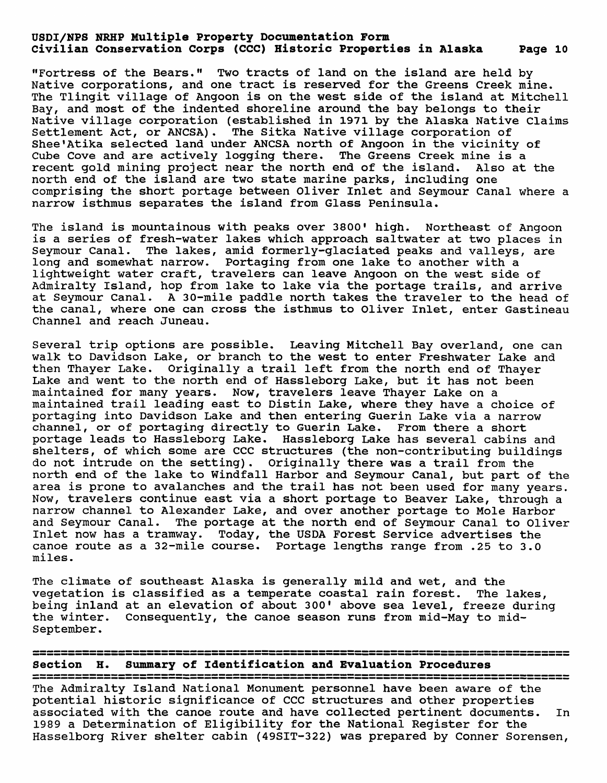"Fortress of the Bears." Two tracts of land on the island are held by Native corporations, and one tract is reserved for the Greens Creek mine. The Tlingit village of Angoon is on the west side of the island at Mitchell Bay, and most of the indented shoreline around the bay belongs to their Native village corporation (established in 1971 by the Alaska Native Claims Settlement Act, or ANCSA). The Sitka Native village corporation of Shee'Atika selected land under ANCSA north of Angoon in the vicinity of Cube Cove and are actively logging there. The Greens Creek mine is a recent gold mining project near the north end of the island. Also at the north end of the island are two state marine parks, including one comprising the short portage between Oliver Inlet and Seymour Canal where a narrow isthmus separates the island from Glass Peninsula.

The island is mountainous with peaks over 3800' high. Northeast of Angoon is a series of fresh-water lakes which approach saltwater at two places in Seymour Canal. The lakes, amid formerly-glaciated peaks and valleys, are long and somewhat narrow. Portaging from one lake to another with a lightweight water craft, travelers can leave Angoon on the west side of Admiralty Island, hop from lake to lake via the portage trails, and arrive at Seymour Canal. A 30-mile paddle north takes the traveler to the head of the canal, where one can cross the isthmus to Oliver Inlet, enter Gastineau Channel and reach Juneau.

Several trip options are possible. Leaving Mitchell Bay overland, one can walk to Davidson Lake, or branch to the west to enter Freshwater Lake and then Thayer Lake. Originally a trail left from the north end of Thayer Lake and went to the north end of Hassleborg Lake, but it has not been maintained for many years. Now, travelers leave Thayer Lake on a maintained trail leading east to Distin Lake, where they have a choice of portaging into Davidson Lake and then entering Guerin Lake via a narrow channel, or of portaging directly to Guerin Lake. From there a short portage leads to Hassleborg Lake. Hassleborg Lake has several cabins and shelters, of which some are CCC structures (the non-contributing buildings do not intrude on the setting). Originally there was a trail from the north end of the lake to Windfall Harbor and Seymour Canal, but part of the area is prone to avalanches and the trail has not been used for many years. Now, travelers continue east via a short portage to Beaver Lake, through a narrow channel to Alexander Lake, and over another portage to Mole Harbor and Seymour Canal. The portage at the north end of Seymour Canal to Oliver Inlet now has a tramway. Today, the USDA Forest Service advertises the canoe route as a 32-mile course. Portage lengths range from .25 to 3.0 miles.

The climate of southeast Alaska is generally mild and wet, and the vegetation is classified as a temperate coastal rain forest. The lakes, being inland at an elevation of about 300' above sea level, freeze during the winter. Consequently, the canoe season runs from mid-May to mid-September.

Section H. Summary of Identification and Evaluation Procedures

The Admiralty Island National Monument personnel have been aware of the potential historic significance of CCC structures and other properties associated with the canoe route and have collected pertinent documents. In 1989 a Determination of Eligibility for the National Register for the Hasselborg River shelter cabin (49SIT-322) was prepared by Conner Sorensen,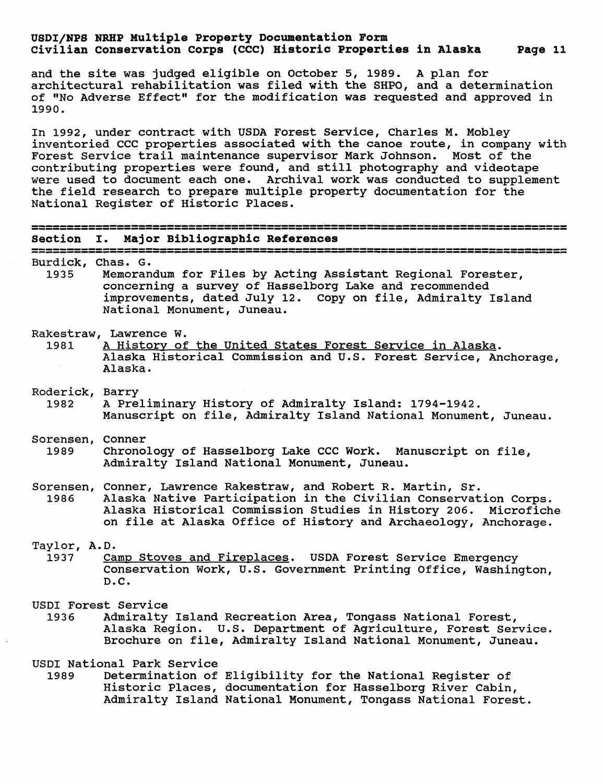and the site was judged eligible on October 5, 1989. A plan for architectural rehabilitation was filed with the SHPO, and a determination of "No Adverse Effect" for the modification was requested and approved in 1990.

In 1992, under contract with USDA Forest Service, Charles M. Mobley inventoried CCC properties associated with the canoe route, in company with Forest Service trail maintenance supervisor Mark Johnson. Most of the contributing properties were found, and still photography and videotape were used to document each one. Archival work was conducted to supplement the field research to prepare multiple property documentation for the National Register of Historic Places.

| Section                   | Major Bibliographic References<br>$\mathbf{I}$ .                                                                                                                                                                                                                                                                                  |
|---------------------------|-----------------------------------------------------------------------------------------------------------------------------------------------------------------------------------------------------------------------------------------------------------------------------------------------------------------------------------|
| Burdick, Chas. G.<br>1935 | ن عبد ذلك من عبد عبد عبد عبد عبد عبد عبد عبد من نتك عبد كل عبد كو عبد 100 نتك عبد عبد 100 نفس من عبد المركز<br>Memorandum for Files by Acting Assistant Regional Forester,<br>concerning a survey of Hasselborg Lake and recommended<br>improvements, dated July 12. Copy on file, Admiralty Island<br>National Monument, Juneau. |
| 1981                      | Rakestraw, Lawrence W.<br>A History of the United States Forest Service in Alaska.<br>Alaska Historical Commission and U.S. Forest Service, Anchorage,<br>Alaska.                                                                                                                                                                 |
| Roderick, Barry<br>1982   | A Preliminary History of Admiralty Island: 1794-1942.<br>Manuscript on file, Admiralty Island National Monument, Juneau.                                                                                                                                                                                                          |
| Sorensen, Conner<br>1989  | Chronology of Hasselborg Lake CCC Work. Manuscript on file,<br>Admiralty Island National Monument, Juneau.                                                                                                                                                                                                                        |
| 1986                      | Sorensen, Conner, Lawrence Rakestraw, and Robert R. Martin, Sr.<br>Alaska Native Participation in the Civilian Conservation Corps.<br>Alaska Historical Commission Studies in History 206. Microfiche<br>on file at Alaska Office of History and Archaeology, Anchorage.                                                          |
| Taylor, A.D.<br>1937      | Camp Stoves and Fireplaces. USDA Forest Service Emergency<br>Conservation Work, U.S. Government Printing Office, Washington,<br>D.C.                                                                                                                                                                                              |
| 1936                      | USDI Forest Service<br>Admiralty Island Recreation Area, Tongass National Forest,<br>Alaska Region. U.S. Department of Agriculture, Forest Service.<br>Brochure on file, Admiralty Island National Monument, Juneau.                                                                                                              |
| 1989                      | USDI National Park Service<br>Determination of Eligibility for the National Register of<br>Historic Places, documentation for Hasselborg River Cabin,<br>Admiralty Island National Monument, Tongass National Forest.                                                                                                             |